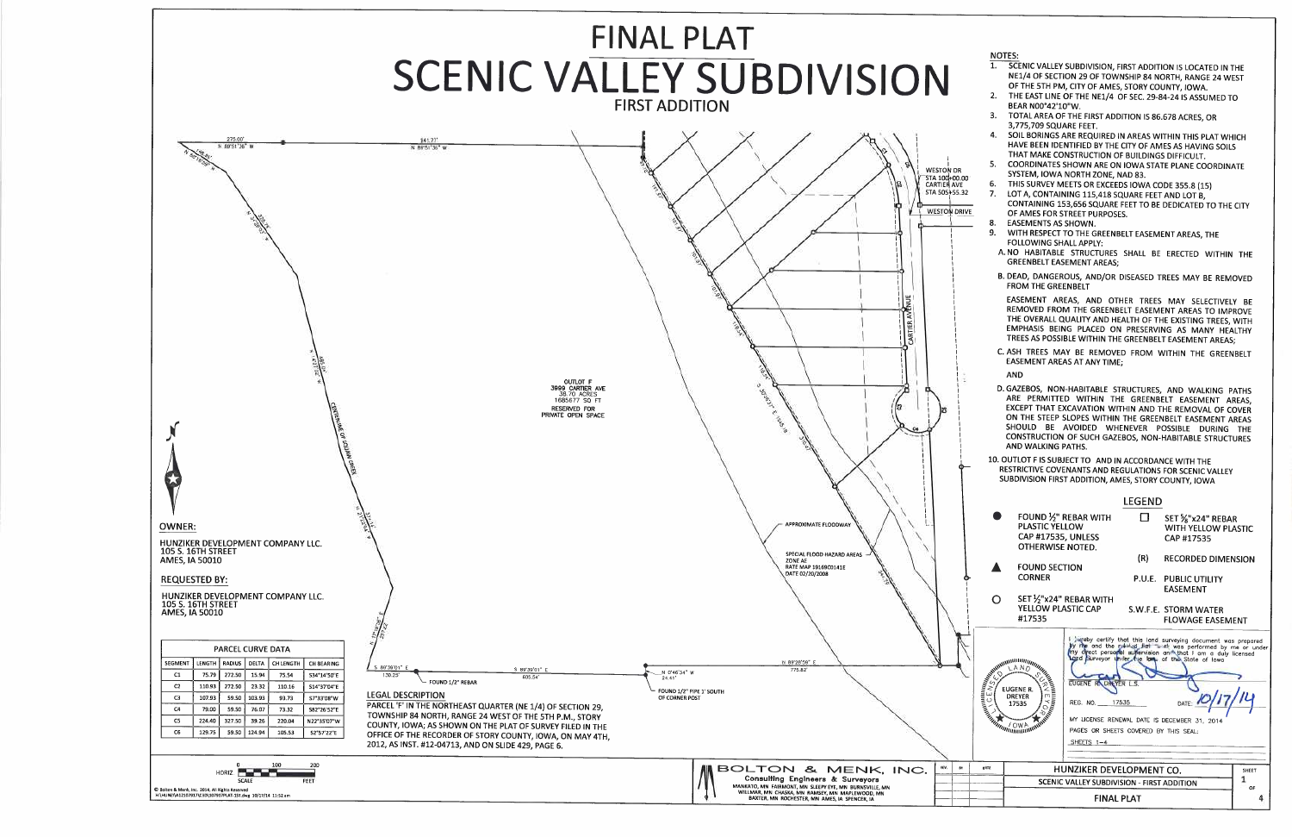

## **NOTES:**

- 1. SCENIC VALLEY SUBDIVISION, FIRST ADDITION IS LOCATED IN THE NE1/4 OF SECTION 29 OF TOWNSHIP 84 NORTH, RANGE 24 WEST OF THE 5TH PM, CITY OF AMES, STORY COUNTY, IOWA.
- THE EAST LINE OF THE NE1/4 OF SEC. 29-84-24 IS ASSUMED TO  $2<sub>1</sub>$ BEAR NO0°42'10"W.
- TOTAL AREA OF THE FIRST ADDITION IS 86.678 ACRES, OR  $\mathbf{R}$ 3,775,709 SQUARE FEET.
- SOIL BORINGS ARE REQUIRED IN AREAS WITHIN THIS PLAT WHICH HAVE BEEN IDENTIFIED BY THE CITY OF AMES AS HAVING SOILS THAT MAKE CONSTRUCTION OF BUILDINGS DIFFICULT.
- COORDINATES SHOWN ARE ON IOWA STATE PLANE COORDINATE -5. SYSTEM, IOWA NORTH ZONE, NAD 83.
- THIS SURVEY MEETS OR EXCEEDS IOWA CODE 355.8 (15) 6.
- LOT A, CONTAINING 115,418 SQUARE FEET AND LOT B,  $7.$ CONTAINING 153,656 SQUARE FEET TO BE DEDICATED TO THE CITY OF AMES FOR STREET PURPOSES.
- **EASEMENTS AS SHOWN.** 8.
- WITH RESPECT TO THE GREENBELT EASEMENT AREAS, THE 9. FOLLOWING SHALL APPLY:
- A. NO HABITABLE STRUCTURES SHALL BE ERECTED WITHIN THE **GREENBELT EASEMENT AREAS;**
- B. DEAD, DANGEROUS, AND/OR DISEASED TREES MAY BE REMOVED FROM THE GREENBELT

EASEMENT AREAS, AND OTHER TREES MAY SELECTIVELY BE REMOVED FROM THE GREENBELT EASEMENT AREAS TO IMPROVE THE OVERALL QUALITY AND HEALTH OF THE EXISTING TREES, WITH EMPHASIS BEING PLACED ON PRESERVING AS MANY HEALTHY TREES AS POSSIBLE WITHIN THE GREENBELT EASEMENT AREAS;

- C. ASH TREES MAY BE REMOVED FROM WITHIN THE GREENBELT EASEMENT AREAS AT ANY TIME;
- **AND**

D. GAZEBOS, NON-HABITABLE STRUCTURES, AND WALKING PATHS ARE PERMITTED WITHIN THE GREENBELT EASEMENT AREAS. EXCEPT THAT EXCAVATION WITHIN AND THE REMOVAL OF COVER ON THE STEEP SLOPES WITHIN THE GREENBELT EASEMENT AREAS SHOULD BE AVOIDED WHENEVER POSSIBLE DURING THE **CONSTRUCTION OF SUCH GAZEBOS, NON-HABITABLE STRUCTURES** AND WALKING PATHS.

10. OUTLOT F IS SUBJECT TO AND IN ACCORDANCE WITH THE RESTRICTIVE COVENANTS AND REGULATIONS FOR SCENIC VALLEY SUBDIVISION FIRST ADDITION, AMES, STORY COUNTY, IOWA

|  |                                                                                          |                                                                                                                                                                                                                                                |                                                                                  | <b>LEGEND</b>             |                                                                                                                                                                                                                                                     |              |
|--|------------------------------------------------------------------------------------------|------------------------------------------------------------------------------------------------------------------------------------------------------------------------------------------------------------------------------------------------|----------------------------------------------------------------------------------|---------------------------|-----------------------------------------------------------------------------------------------------------------------------------------------------------------------------------------------------------------------------------------------------|--------------|
|  | FOUND 1/2" REBAR WITH<br>PLASTIC YELLOW<br>CAP #17535, UNLESS<br><b>OTHERWISE NOTED.</b> |                                                                                                                                                                                                                                                |                                                                                  | ' '                       | SET %"x24" REBAR<br><b>WITH YELLOW PLASTIC</b><br>CAP #17535                                                                                                                                                                                        |              |
|  |                                                                                          | <b>FOUND SECTION</b>                                                                                                                                                                                                                           |                                                                                  | (R)                       | <b>RECORDED DIMENSION</b>                                                                                                                                                                                                                           |              |
|  |                                                                                          | <b>CORNER</b>                                                                                                                                                                                                                                  |                                                                                  |                           | <b>P.U.E. PUBLIC UTILITY</b><br><b>EASEMFNT</b>                                                                                                                                                                                                     |              |
|  | $\cap$                                                                                   | YELLOW PLASTIC CAP<br>#17535                                                                                                                                                                                                                   | SET 1/2"x24" REBAR WITH                                                          |                           | S.W.F.E. STORM WATER<br><b>FLOWAGE EASEMENT</b>                                                                                                                                                                                                     |              |
|  |                                                                                          | A REPORT OF STRAIGHT AND REPORT OF STRAIGHT AND REPORT OF STRAIGHT AND REPORT OF STRAIGHT AND RESIDENCE OF STRAIGHT AND RESIDENCE OF STRAIGHT AND REPORT OF STRAIGHT AND REPORT OF STRAIGHT AND REPORT OF STRAIGHT AND REPORT<br><b>Tangon</b> | EUGENE R DA<br>REG. NO.<br>PAGES OR SHEETS COVERED BY THIS SEAL:<br>SHEETS $1-4$ | <b>EYER L.S.</b><br>17535 | I wreby certify that this land surveying document was prepared<br>by me and the ride of Father was performed by me or under<br>my drect personal surervision and that I am a duly licensed<br>DATE:<br>MY LICENSE RENEWAL DATE IS DECEMBER 31, 2014 |              |
|  | <b>DRIVE</b>                                                                             | HUNZIKER DEVELOPMENT CO.<br>SCENIC VALLEY SUBDIVISION - FIRST ADDITION<br><b>FINAL PLAT</b>                                                                                                                                                    |                                                                                  |                           |                                                                                                                                                                                                                                                     | <b>SHEET</b> |
|  |                                                                                          |                                                                                                                                                                                                                                                |                                                                                  |                           |                                                                                                                                                                                                                                                     | OF           |
|  |                                                                                          |                                                                                                                                                                                                                                                |                                                                                  |                           |                                                                                                                                                                                                                                                     |              |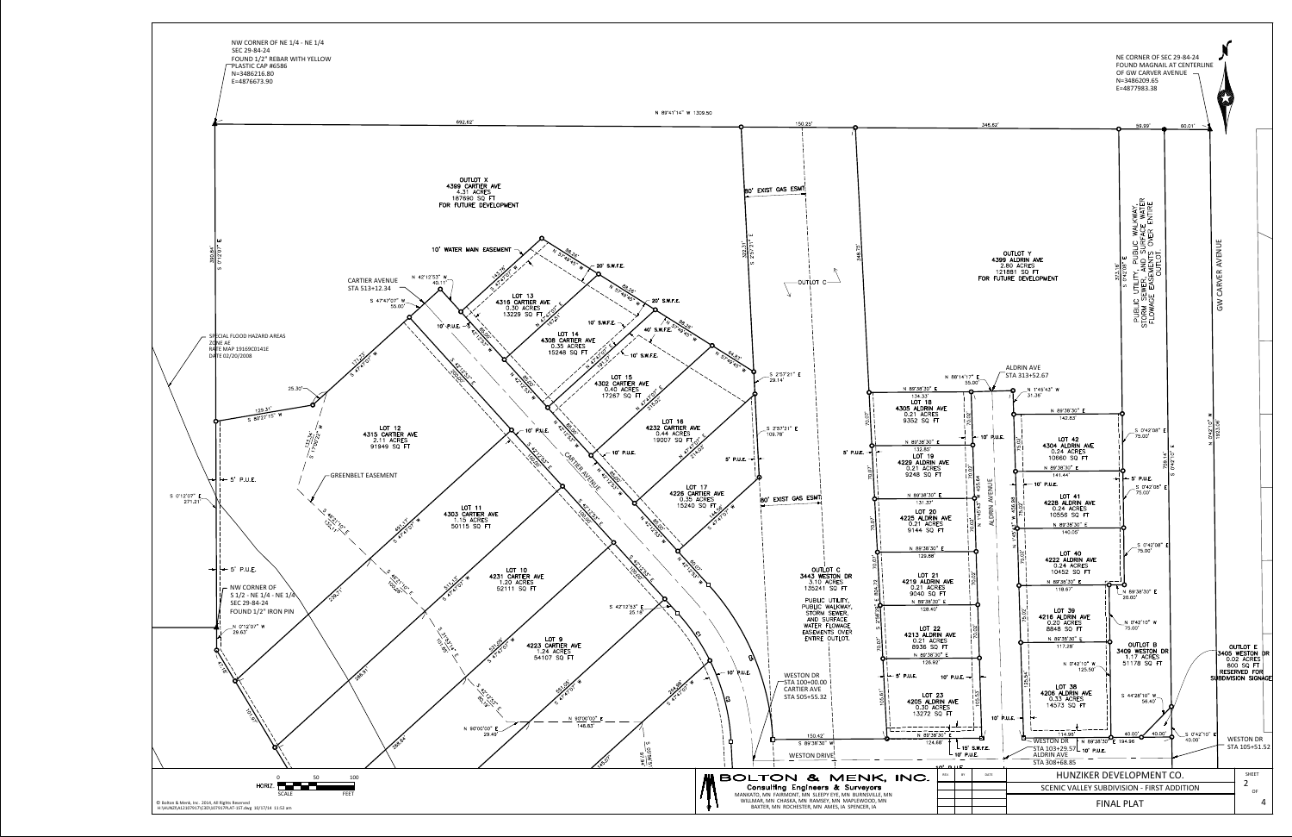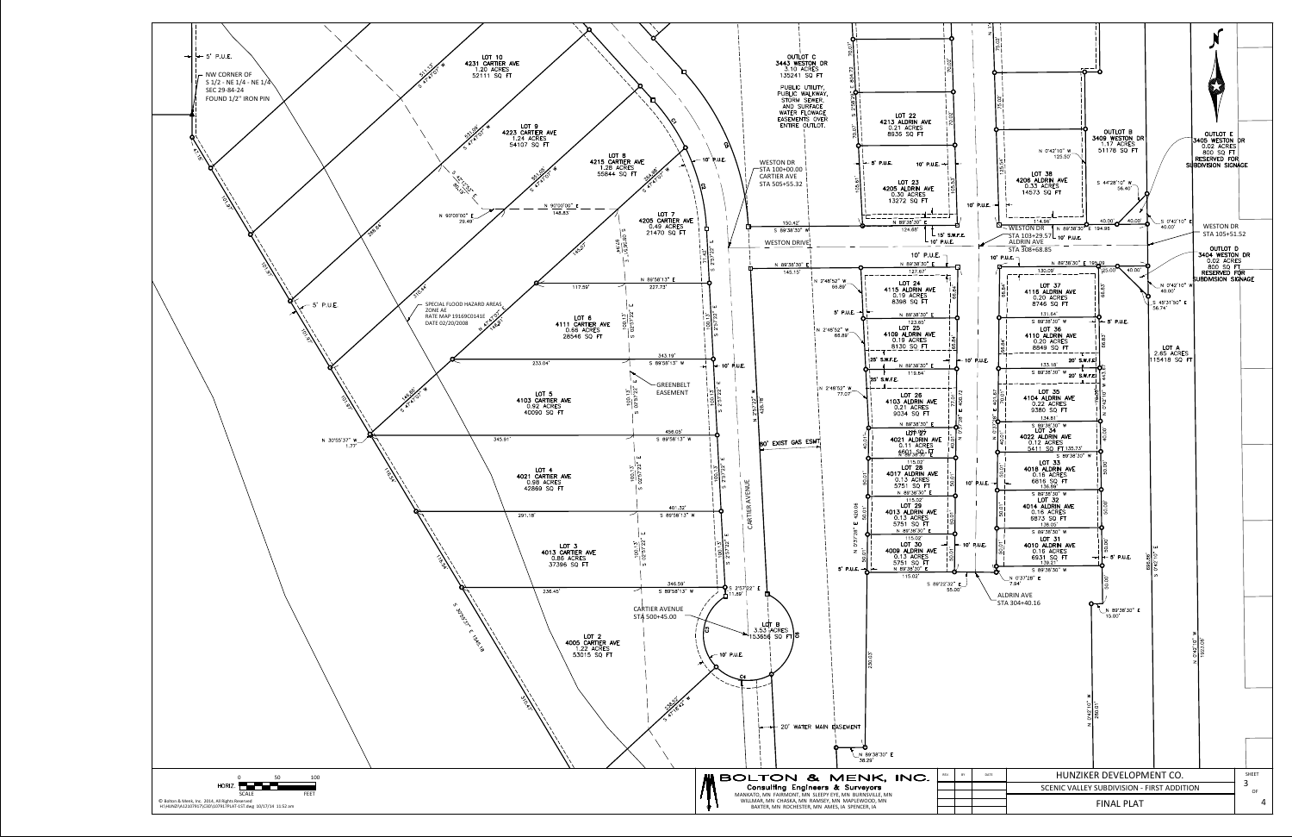